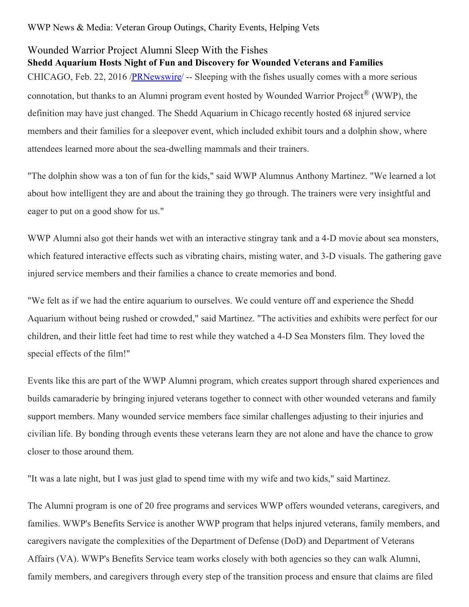WWP News & Media: Veteran Group Outings, Charity Events, Helping Vets

## Wounded Warrior Project Alumni Sleep With the Fishes

**Shedd Aquarium Hosts Night of Fun and Discovery for Wounded Veterans and Families** CHICAGO, Feb. 22, 2016 [/PRNewswire](http://www.prnewswire.com/)/ -- Sleeping with the fishes usually comes with a more serious connotation, but thanks to an Alumni program event hosted by Wounded Warrior Project® (WWP), the definition may have just changed. The Shedd Aquarium in Chicago recently hosted 68 injured service members and their families for a sleepover event, which included exhibit tours and a dolphin show, where attendees learned more about the sea-dwelling mammals and their trainers.

"The dolphin show was a ton of fun for the kids," said WWP Alumnus Anthony Martinez. "We learned a lot about how intelligent they are and about the training they go through. The trainers were very insightful and eager to put on a good show for us."

WWP Alumni also got their hands wet with an interactive stingray tank and a 4-D movie about sea monsters, which featured interactive effects such as vibrating chairs, misting water, and 3-D visuals. The gathering gave injured service members and their families a chance to create memories and bond.

"We felt as if we had the entire aquarium to ourselves. We could venture off and experience the Shedd Aquarium without being rushed or crowded," said Martinez. "The activities and exhibits were perfect for our children, and their little feet had time to rest while they watched a 4-D Sea Monsters film. They loved the special effects of the film!"

Events like this are part of the WWP Alumni program, which creates support through shared experiences and builds camaraderie by bringing injured veterans together to connect with other wounded veterans and family support members. Many wounded service members face similar challenges adjusting to their injuries and civilian life. By bonding through events these veterans learn they are not alone and have the chance to grow closer to those around them.

"It was a late night, but I was just glad to spend time with my wife and two kids," said Martinez.

The Alumni program is one of 20 free programs and services WWP offers wounded veterans, caregivers, and families. WWP's Benefits Service is another WWP program that helps injured veterans, family members, and caregivers navigate the complexities of the Department of Defense (DoD) and Department of Veterans Affairs (VA). WWP's Benefits Service team works closely with both agencies so they can walk Alumni, family members, and caregivers through every step of the transition process and ensure that claims are filed